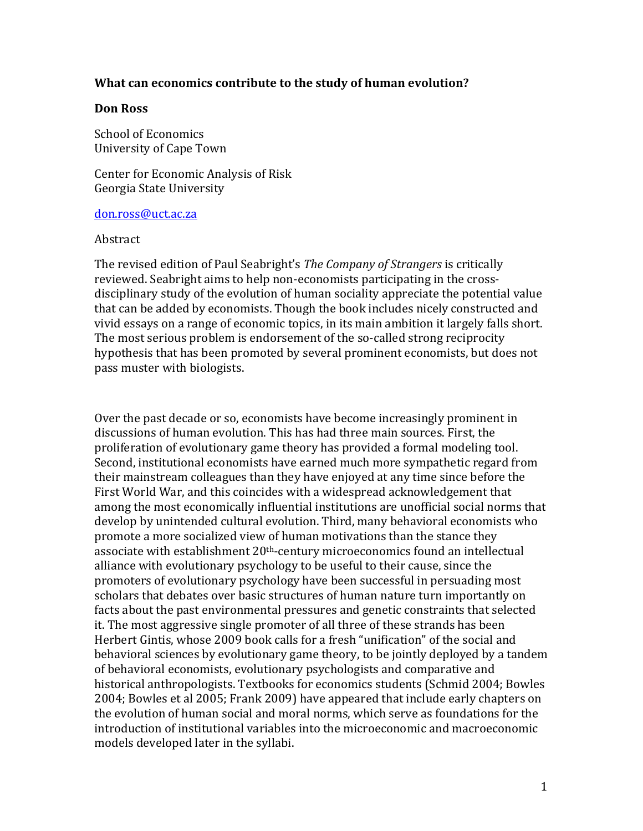# What can economics contribute to the study of human evolution?

### **Don Ross**

**School of Economics** University of Cape Town

**Center for Economic Analysis of Risk** Georgia State University

#### don.ross@uct.ac.za

### Abstract

The revised edition of Paul Seabright's The Company of Strangers is critically reviewed. Seabright aims to help non-economists participating in the crossdisciplinary study of the evolution of human sociality appreciate the potential value that can be added by economists. Though the book includes nicely constructed and vivid essays on a range of economic topics, in its main ambition it largely falls short. The most serious problem is endorsement of the so-called strong reciprocity hypothesis that has been promoted by several prominent economists, but does not pass muster with biologists.

Over the past decade or so, economists have become increasingly prominent in discussions of human evolution. This has had three main sources. First, the proliferation of evolutionary game theory has provided a formal modeling tool. Second, institutional economists have earned much more sympathetic regard from their mainstream colleagues than they have enjoyed at any time since before the First World War, and this coincides with a widespread acknowledgement that among the most economically influential institutions are unofficial social norms that develop by unintended cultural evolution. Third, many behavioral economists who promote a more socialized view of human motivations than the stance they associate with establishment 20<sup>th</sup>-century microeconomics found an intellectual alliance with evolutionary psychology to be useful to their cause, since the promoters of evolutionary psychology have been successful in persuading most scholars that debates over basic structures of human nature turn importantly on facts about the past environmental pressures and genetic constraints that selected it. The most aggressive single promoter of all three of these strands has been Herbert Gintis, whose 2009 book calls for a fresh "unification" of the social and behavioral sciences by evolutionary game theory, to be jointly deployed by a tandem of behavioral economists, evolutionary psychologists and comparative and historical anthropologists. Textbooks for economics students (Schmid 2004; Bowles 2004; Bowles et al 2005; Frank 2009) have appeared that include early chapters on the evolution of human social and moral norms, which serve as foundations for the introduction of institutional variables into the microeconomic and macroeconomic models developed later in the syllabi.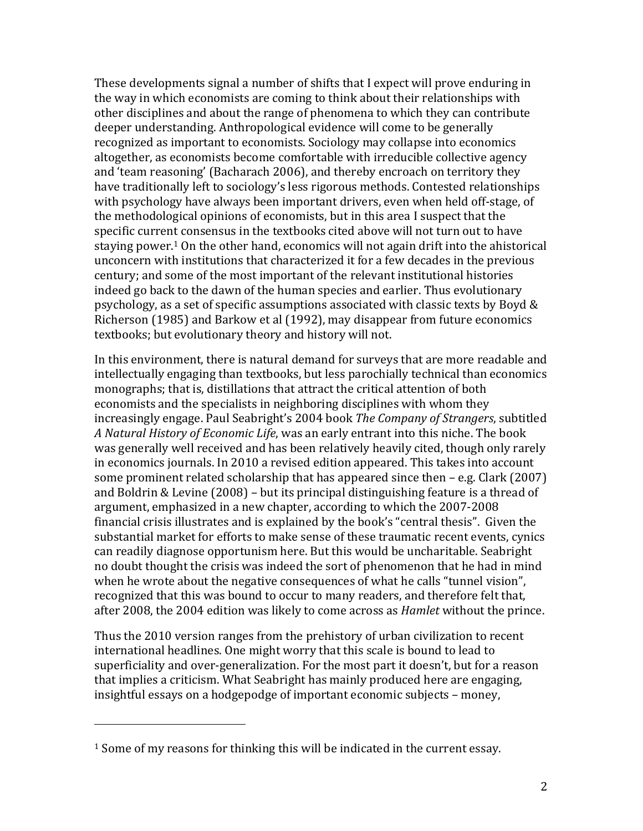These developments signal a number of shifts that I expect will prove enduring in the way in which economists are coming to think about their relationships with other disciplines and about the range of phenomena to which they can contribute deeper understanding. Anthropological evidence will come to be generally recognized as important to economists. Sociology may collapse into economics altogether, as economists become comfortable with irreducible collective agency and 'team reasoning' (Bacharach 2006), and thereby encroach on territory they have traditionally left to sociology's less rigorous methods. Contested relationships with psychology have always been important drivers, even when held off-stage, of the methodological opinions of economists, but in this area I suspect that the specific current consensus in the textbooks cited above will not turn out to have staying power.<sup>1</sup> On the other hand, economics will not again drift into the ahistorical unconcern with institutions that characterized it for a few decades in the previous century; and some of the most important of the relevant institutional histories indeed go back to the dawn of the human species and earlier. Thus evolutionary psychology, as a set of specific assumptions associated with classic texts by Boyd  $&$ Richerson (1985) and Barkow et al (1992), may disappear from future economics textbooks; but evolutionary theory and history will not.

In this environment, there is natural demand for surveys that are more readable and intellectually engaging than textbooks, but less parochially technical than economics monographs; that is, distillations that attract the critical attention of both economists and the specialists in neighboring disciplines with whom they increasingly engage. Paul Seabright's 2004 book *The Company of Strangers*, subtitled A Natural History of Economic Life, was an early entrant into this niche. The book was generally well received and has been relatively heavily cited, though only rarely in economics journals. In 2010 a revised edition appeared. This takes into account some prominent related scholarship that has appeared since then – e.g. Clark (2007) and Boldrin & Levine (2008) – but its principal distinguishing feature is a thread of argument, emphasized in a new chapter, according to which the 2007-2008 financial crisis illustrates and is explained by the book's "central thesis". Given the substantial market for efforts to make sense of these traumatic recent events, cynics can readily diagnose opportunism here. But this would be uncharitable. Seabright no doubt thought the crisis was indeed the sort of phenomenon that he had in mind when he wrote about the negative consequences of what he calls "tunnel vision", recognized that this was bound to occur to many readers, and therefore felt that, after 2008, the 2004 edition was likely to come across as *Hamlet* without the prince.

Thus the 2010 version ranges from the prehistory of urban civilization to recent international headlines. One might worry that this scale is bound to lead to superficiality and over-generalization. For the most part it doesn't, but for a reason that implies a criticism. What Seabright has mainly produced here are engaging, insightful essays on a hodgepodge of important economic subjects – money,

 $1$  Some of my reasons for thinking this will be indicated in the current essay.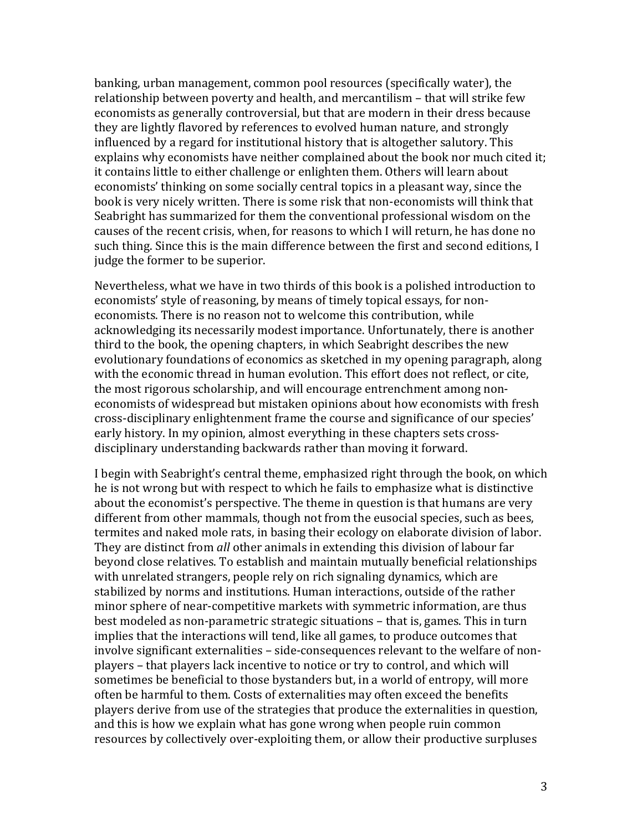banking, urban management, common pool resources (specifically water), the relationship between poverty and health, and mercantilism – that will strike few economists as generally controversial, but that are modern in their dress because they are lightly flavored by references to evolved human nature, and strongly influenced by a regard for institutional history that is altogether salutory. This explains why economists have neither complained about the book nor much cited it; it contains little to either challenge or enlighten them. Others will learn about economists' thinking on some socially central topics in a pleasant way, since the book is very nicely written. There is some risk that non-economists will think that Seabright has summarized for them the conventional professional wisdom on the causes of the recent crisis, when, for reasons to which I will return, he has done no such thing. Since this is the main difference between the first and second editions, I judge the former to be superior.

Nevertheless, what we have in two thirds of this book is a polished introduction to economists' style of reasoning, by means of timely topical essays, for noneconomists. There is no reason not to welcome this contribution, while acknowledging its necessarily modest importance. Unfortunately, there is another third to the book, the opening chapters, in which Seabright describes the new evolutionary foundations of economics as sketched in my opening paragraph, along with the economic thread in human evolution. This effort does not reflect, or cite, the most rigorous scholarship, and will encourage entrenchment among noneconomists of widespread but mistaken opinions about how economists with fresh cross-disciplinary enlightenment frame the course and significance of our species' early history. In my opinion, almost everything in these chapters sets crossdisciplinary understanding backwards rather than moving it forward.

I begin with Seabright's central theme, emphasized right through the book, on which he is not wrong but with respect to which he fails to emphasize what is distinctive about the economist's perspective. The theme in question is that humans are very different from other mammals, though not from the eusocial species, such as bees, termites and naked mole rats, in basing their ecology on elaborate division of labor. They are distinct from *all* other animals in extending this division of labour far beyond close relatives. To establish and maintain mutually beneficial relationships with unrelated strangers, people rely on rich signaling dynamics, which are stabilized by norms and institutions. Human interactions, outside of the rather minor sphere of near-competitive markets with symmetric information, are thus best modeled as non-parametric strategic situations – that is, games. This in turn implies that the interactions will tend, like all games, to produce outcomes that involve significant externalities – side-consequences relevant to the welfare of nonplayers – that players lack incentive to notice or try to control, and which will sometimes be beneficial to those bystanders but, in a world of entropy, will more often be harmful to them. Costs of externalities may often exceed the benefits players derive from use of the strategies that produce the externalities in question, and this is how we explain what has gone wrong when people ruin common resources by collectively over-exploiting them, or allow their productive surpluses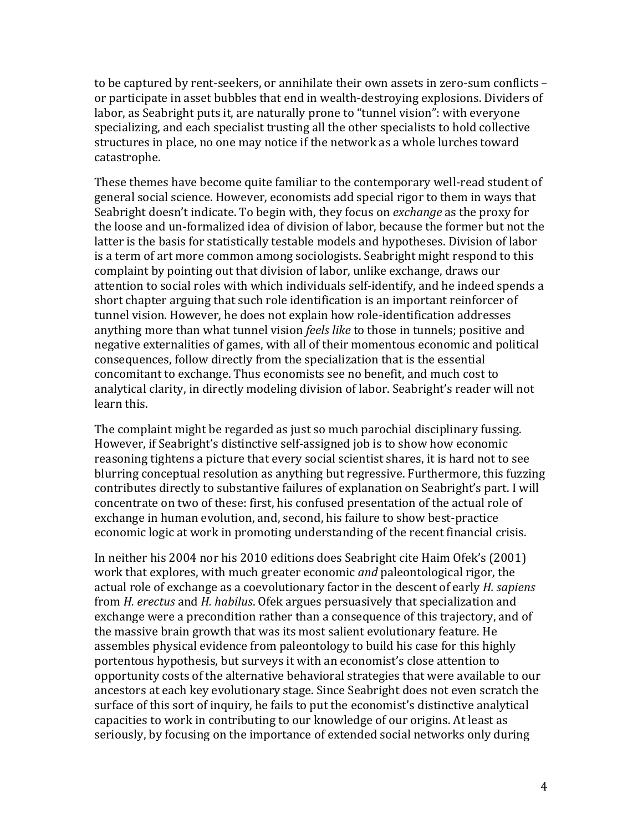to be captured by rent-seekers, or annihilate their own assets in zero-sum conflicts – or participate in asset bubbles that end in wealth-destroying explosions. Dividers of labor, as Seabright puts it, are naturally prone to "tunnel vision": with everyone specializing, and each specialist trusting all the other specialists to hold collective structures in place, no one may notice if the network as a whole lurches toward catastrophe.

These themes have become quite familiar to the contemporary well-read student of general social science. However, economists add special rigor to them in ways that Seabright doesn't indicate. To begin with, they focus on *exchange* as the proxy for the loose and un-formalized idea of division of labor, because the former but not the latter is the basis for statistically testable models and hypotheses. Division of labor is a term of art more common among sociologists. Seabright might respond to this complaint by pointing out that division of labor, unlike exchange, draws our attention to social roles with which individuals self-identify, and he indeed spends a short chapter arguing that such role identification is an important reinforcer of tunnel vision. However, he does not explain how role-identification addresses anything more than what tunnel vision *feels like* to those in tunnels; positive and negative externalities of games, with all of their momentous economic and political consequences, follow directly from the specialization that is the essential concomitant to exchange. Thus economists see no benefit, and much cost to analytical clarity, in directly modeling division of labor. Seabright's reader will not learn this.

The complaint might be regarded as just so much parochial disciplinary fussing. However, if Seabright's distinctive self-assigned job is to show how economic reasoning tightens a picture that every social scientist shares, it is hard not to see blurring conceptual resolution as anything but regressive. Furthermore, this fuzzing contributes directly to substantive failures of explanation on Seabright's part. I will concentrate on two of these: first, his confused presentation of the actual role of exchange in human evolution, and, second, his failure to show best-practice economic logic at work in promoting understanding of the recent financial crisis.

In neither his 2004 nor his 2010 editions does Seabright cite Haim Ofek's (2001) work that explores, with much greater economic *and* paleontological rigor, the actual role of exchange as a coevolutionary factor in the descent of early *H. sapiens* from *H. erectus* and *H. habilus*. Ofek argues persuasively that specialization and exchange were a precondition rather than a consequence of this trajectory, and of the massive brain growth that was its most salient evolutionary feature. He assembles physical evidence from paleontology to build his case for this highly portentous hypothesis, but surveys it with an economist's close attention to opportunity costs of the alternative behavioral strategies that were available to our ancestors at each key evolutionary stage. Since Seabright does not even scratch the surface of this sort of inquiry, he fails to put the economist's distinctive analytical capacities to work in contributing to our knowledge of our origins. At least as seriously, by focusing on the importance of extended social networks only during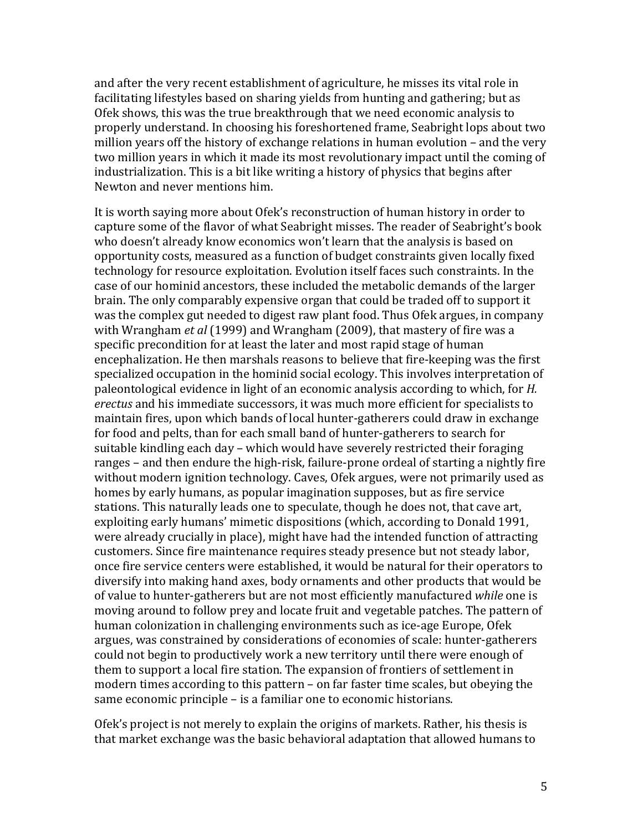and after the very recent establishment of agriculture, he misses its vital role in facilitating lifestyles based on sharing yields from hunting and gathering; but as Ofek shows, this was the true breakthrough that we need economic analysis to properly understand. In choosing his foreshortened frame, Seabright lops about two million years off the history of exchange relations in human evolution – and the very two million years in which it made its most revolutionary impact until the coming of industrialization. This is a bit like writing a history of physics that begins after Newton and never mentions him.

It is worth saying more about Ofek's reconstruction of human history in order to capture some of the flavor of what Seabright misses. The reader of Seabright's book who doesn't already know economics won't learn that the analysis is based on opportunity costs, measured as a function of budget constraints given locally fixed technology for resource exploitation. Evolution itself faces such constraints. In the case of our hominid ancestors, these included the metabolic demands of the larger brain. The only comparably expensive organ that could be traded off to support it was the complex gut needed to digest raw plant food. Thus Ofek argues, in company with Wrangham *et al* (1999) and Wrangham (2009), that mastery of fire was a specific precondition for at least the later and most rapid stage of human encephalization. He then marshals reasons to believe that fire-keeping was the first specialized occupation in the hominid social ecology. This involves interpretation of paleontological evidence in light of an economic analysis according to which, for *H. erectus* and his immediate successors, it was much more efficient for specialists to maintain fires, upon which bands of local hunter-gatherers could draw in exchange for food and pelts, than for each small band of hunter-gatherers to search for suitable kindling each day – which would have severely restricted their foraging ranges – and then endure the high-risk, failure-prone ordeal of starting a nightly fire without modern ignition technology. Caves, Ofek argues, were not primarily used as homes by early humans, as popular imagination supposes, but as fire service stations. This naturally leads one to speculate, though he does not, that cave art, exploiting early humans' mimetic dispositions (which, according to Donald 1991, were already crucially in place), might have had the intended function of attracting customers. Since fire maintenance requires steady presence but not steady labor, once fire service centers were established, it would be natural for their operators to diversify into making hand axes, body ornaments and other products that would be of value to hunter-gatherers but are not most efficiently manufactured *while* one is moving around to follow prey and locate fruit and vegetable patches. The pattern of human colonization in challenging environments such as ice-age Europe, Ofek ! argues, was constrained by considerations of economies of scale: hunter-gatherers could not begin to productively work a new territory until there were enough of them to support a local fire station. The expansion of frontiers of settlement in modern times according to this pattern – on far faster time scales, but obeying the same economic principle – is a familiar one to economic historians.

Ofek's project is not merely to explain the origins of markets. Rather, his thesis is that market exchange was the basic behavioral adaptation that allowed humans to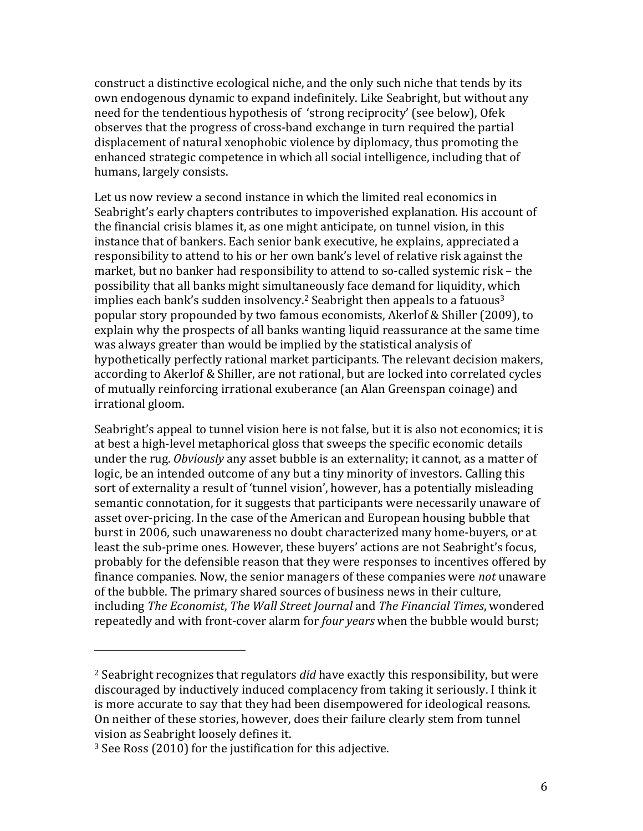construct a distinctive ecological niche, and the only such niche that tends by its own endogenous dynamic to expand indefinitely. Like Seabright, but without any need for the tendentious hypothesis of 'strong reciprocity' (see below), Ofek observes that the progress of cross-band exchange in turn required the partial displacement of natural xenophobic violence by diplomacy, thus promoting the enhanced strategic competence in which all social intelligence, including that of humans, largely consists.

Let us now review a second instance in which the limited real economics in Seabright's early chapters contributes to impoverished explanation. His account of the financial crisis blames it, as one might anticipate, on tunnel vision, in this instance that of bankers. Each senior bank executive, he explains, appreciated a responsibility to attend to his or her own bank's level of relative risk against the market, but no banker had responsibility to attend to so-called systemic risk – the possibility that all banks might simultaneously face demand for liquidity, which implies each bank's sudden insolvency.<sup>2</sup> Seabright then appeals to a fatuous<sup>3</sup> popular story propounded by two famous economists, Akerlof & Shiller (2009), to explain why the prospects of all banks wanting liquid reassurance at the same time was always greater than would be implied by the statistical analysis of hypothetically perfectly rational market participants. The relevant decision makers, according to Akerlof & Shiller, are not rational, but are locked into correlated cycles of mutually reinforcing irrational exuberance (an Alan Greenspan coinage) and irrational gloom.

Seabright's appeal to tunnel vision here is not false, but it is also not economics; it is at best a high-level metaphorical gloss that sweeps the specific economic details under the rug. *Obviously* any asset bubble is an externality; it cannot, as a matter of logic, be an intended outcome of any but a tiny minority of investors. Calling this sort of externality a result of 'tunnel vision', however, has a potentially misleading semantic connotation, for it suggests that participants were necessarily unaware of asset over-pricing. In the case of the American and European housing bubble that burst in 2006, such unawareness no doubt characterized many home-buyers, or at least the sub-prime ones. However, these buyers' actions are not Seabright's focus, probably for the defensible reason that they were responses to incentives offered by finance companies. Now, the senior managers of these companies were *not* unaware of the bubble. The primary shared sources of business news in their culture, including The Economist, The Wall Street Journal and The Financial Times, wondered repeatedly and with front-cover alarm for *four years* when the bubble would burst;

<sup>&</sup>lt;sup>2</sup> Seabright recognizes that regulators *did* have exactly this responsibility, but were discouraged by inductively induced complacency from taking it seriously. I think it is more accurate to say that they had been disempowered for ideological reasons. On neither of these stories, however, does their failure clearly stem from tunnel vision as Seabright loosely defines it.

 $3$  See Ross (2010) for the justification for this adjective.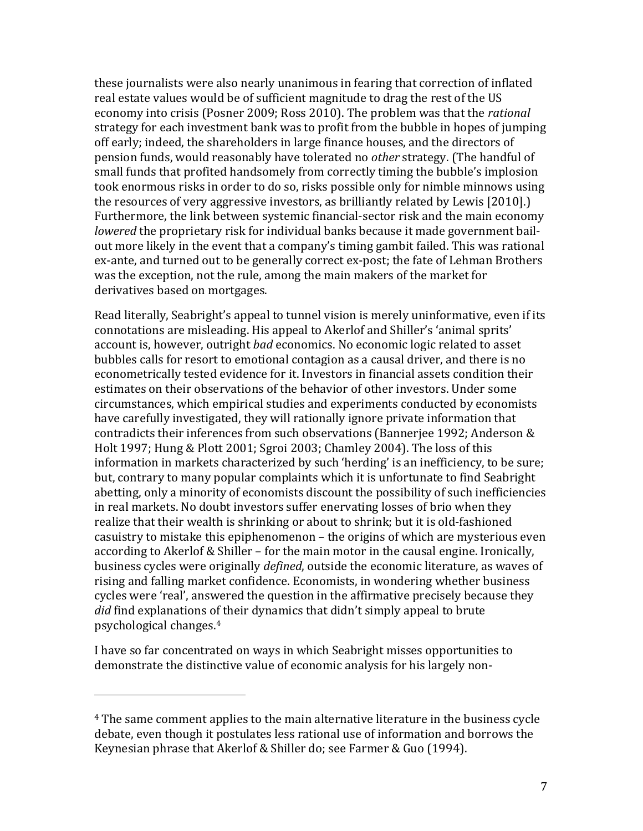these journalists were also nearly unanimous in fearing that correction of inflated real estate values would be of sufficient magnitude to drag the rest of the US economy into crisis (Posner 2009; Ross 2010). The problem was that the *rational* strategy for each investment bank was to profit from the bubble in hopes of jumping off early; indeed, the shareholders in large finance houses, and the directors of pension funds, would reasonably have tolerated no *other* strategy. (The handful of small funds that profited handsomely from correctly timing the bubble's implosion took enormous risks in order to do so, risks possible only for nimble minnows using the resources of very aggressive investors, as brilliantly related by Lewis [2010]. Furthermore, the link between systemic financial-sector risk and the main economy lowered the proprietary risk for individual banks because it made government bailout more likely in the event that a company's timing gambit failed. This was rational ex-ante, and turned out to be generally correct ex-post; the fate of Lehman Brothers was the exception, not the rule, among the main makers of the market for derivatives based on mortgages.

Read literally, Seabright's appeal to tunnel vision is merely uninformative, even if its connotations are misleading. His appeal to Akerlof and Shiller's 'animal sprits' account is, however, outright *bad* economics. No economic logic related to asset bubbles calls for resort to emotional contagion as a causal driver, and there is no econometrically tested evidence for it. Investors in financial assets condition their estimates on their observations of the behavior of other investors. Under some circumstances, which empirical studies and experiments conducted by economists have carefully investigated, they will rationally ignore private information that contradicts their inferences from such observations (Bannerjee 1992; Anderson & Holt 1997; Hung & Plott 2001; Sgroi 2003; Chamley 2004). The loss of this information in markets characterized by such 'herding' is an inefficiency, to be sure; but, contrary to many popular complaints which it is unfortunate to find Seabright abetting, only a minority of economists discount the possibility of such inefficiencies in real markets. No doubt investors suffer enervating losses of brio when they realize that their wealth is shrinking or about to shrink; but it is old-fashioned casuistry to mistake this epiphenomenon - the origins of which are mysterious even according to Akerlof & Shiller – for the main motor in the causal engine. Ironically, business cycles were originally *defined*, outside the economic literature, as waves of rising and falling market confidence. Economists, in wondering whether business cycles were 'real', answered the question in the affirmative precisely because they *did* find explanations of their dynamics that didn't simply appeal to brute psychological changes.<sup>4</sup>

I have so far concentrated on ways in which Seabright misses opportunities to demonstrate the distinctive value of economic analysis for his largely non-

<sup>&</sup>lt;sup>4</sup> The same comment applies to the main alternative literature in the business cycle debate, even though it postulates less rational use of information and borrows the Keynesian phrase that Akerlof & Shiller do; see Farmer & Guo (1994).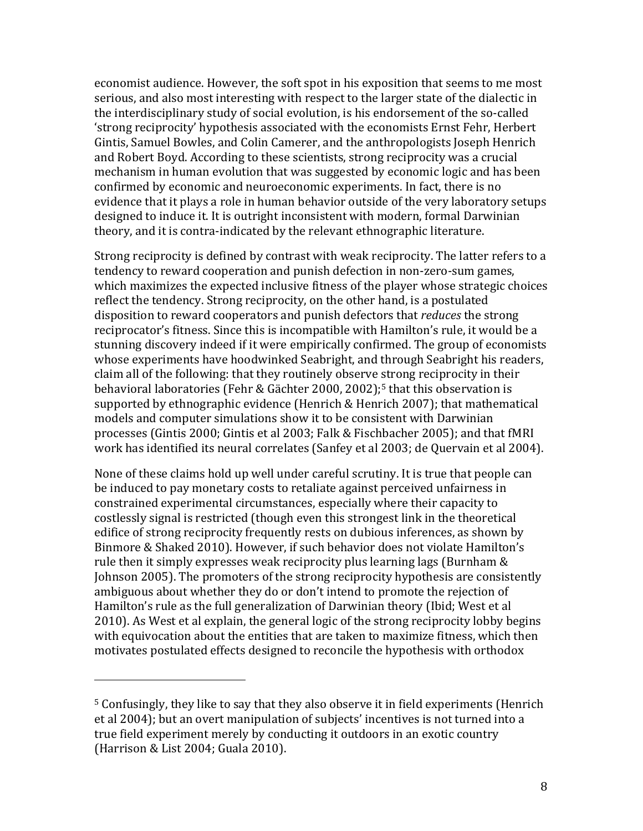economist audience. However, the soft spot in his exposition that seems to me most serious, and also most interesting with respect to the larger state of the dialectic in the interdisciplinary study of social evolution, is his endorsement of the so-called 'strong reciprocity' hypothesis associated with the economists Ernst Fehr, Herbert Gintis, Samuel Bowles, and Colin Camerer, and the anthropologists Joseph Henrich and Robert Boyd. According to these scientists, strong reciprocity was a crucial mechanism in human evolution that was suggested by economic logic and has been confirmed by economic and neuroeconomic experiments. In fact, there is no evidence that it plays a role in human behavior outside of the very laboratory setups designed to induce it. It is outright inconsistent with modern, formal Darwinian theory, and it is contra-indicated by the relevant ethnographic literature.

Strong reciprocity is defined by contrast with weak reciprocity. The latter refers to a tendency to reward cooperation and punish defection in non-zero-sum games, which maximizes the expected inclusive fitness of the player whose strategic choices reflect the tendency. Strong reciprocity, on the other hand, is a postulated disposition to reward cooperators and punish defectors that *reduces* the strong reciprocator's fitness. Since this is incompatible with Hamilton's rule, it would be a stunning discovery indeed if it were empirically confirmed. The group of economists whose experiments have hoodwinked Seabright, and through Seabright his readers, claim all of the following: that they routinely observe strong reciprocity in their behavioral laboratories (Fehr & Gächter 2000, 2002);<sup>5</sup> that this observation is supported by ethnographic evidence (Henrich & Henrich 2007); that mathematical models and computer simulations show it to be consistent with Darwinian processes (Gintis 2000; Gintis et al 2003; Falk & Fischbacher 2005); and that fMRI work has identified its neural correlates (Sanfey et al 2003; de Quervain et al 2004).

None of these claims hold up well under careful scrutiny. It is true that people can be induced to pay monetary costs to retaliate against perceived unfairness in constrained experimental circumstances, especially where their capacity to costlessly signal is restricted (though even this strongest link in the theoretical edifice of strong reciprocity frequently rests on dubious inferences, as shown by Binmore & Shaked 2010). However, if such behavior does not violate Hamilton's rule then it simply expresses weak reciprocity plus learning lags (Burnham  $&$ Johnson 2005). The promoters of the strong reciprocity hypothesis are consistently ambiguous about whether they do or don't intend to promote the rejection of Hamilton's rule as the full generalization of Darwinian theory (Ibid; West et al 2010). As West et al explain, the general logic of the strong reciprocity lobby begins with equivocation about the entities that are taken to maximize fitness, which then motivates postulated effects designed to reconcile the hypothesis with orthodox

 $5$  Confusingly, they like to say that they also observe it in field experiments (Henrich et al 2004); but an overt manipulation of subjects' incentives is not turned into a true field experiment merely by conducting it outdoors in an exotic country (Harrison & List 2004; Guala 2010).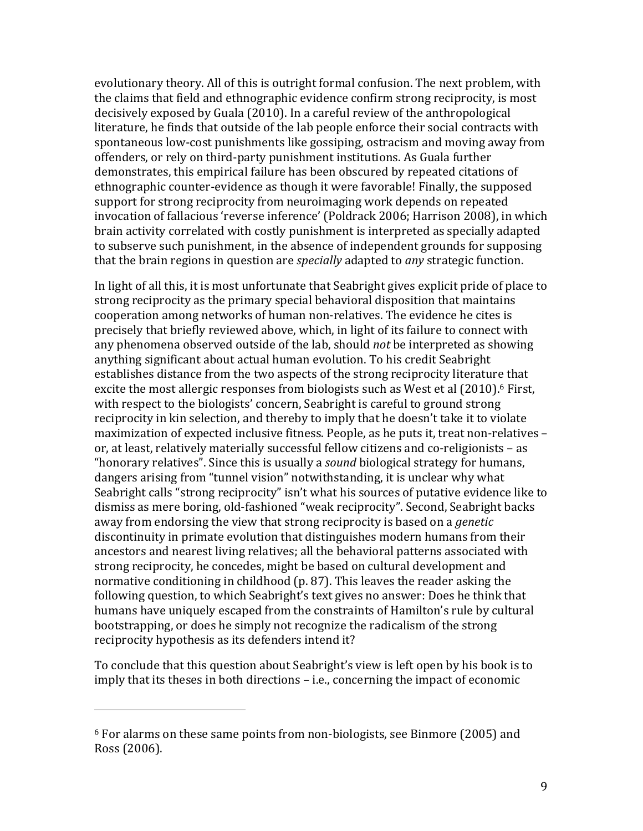evolutionary theory. All of this is outright formal confusion. The next problem, with the claims that field and ethnographic evidence confirm strong reciprocity, is most decisively exposed by Guala (2010). In a careful review of the anthropological literature, he finds that outside of the lab people enforce their social contracts with spontaneous low-cost punishments like gossiping, ostracism and moving away from offenders, or rely on third-party punishment institutions. As Guala further demonstrates, this empirical failure has been obscured by repeated citations of ethnographic counter-evidence as though it were favorable! Finally, the supposed support for strong reciprocity from neuroimaging work depends on repeated invocation of fallacious 'reverse inference' (Poldrack 2006; Harrison 2008), in which brain activity correlated with costly punishment is interpreted as specially adapted to subserve such punishment, in the absence of independent grounds for supposing that the brain regions in question are *specially* adapted to *any* strategic function.

In light of all this, it is most unfortunate that Seabright gives explicit pride of place to strong reciprocity as the primary special behavioral disposition that maintains cooperation among networks of human non-relatives. The evidence he cites is precisely that briefly reviewed above, which, in light of its failure to connect with any phenomena observed outside of the lab, should *not* be interpreted as showing anything significant about actual human evolution. To his credit Seabright establishes distance from the two aspects of the strong reciprocity literature that excite the most allergic responses from biologists such as West et al (2010).<sup>6</sup> First, with respect to the biologists' concern, Seabright is careful to ground strong reciprocity in kin selection, and thereby to imply that he doesn't take it to violate maximization of expected inclusive fitness. People, as he puts it, treat non-relatives – or, at least, relatively materially successful fellow citizens and co-religionists – as "honorary relatives". Since this is usually a *sound* biological strategy for humans, dangers arising from "tunnel vision" notwithstanding, it is unclear why what Seabright calls "strong reciprocity" isn't what his sources of putative evidence like to dismiss as mere boring, old-fashioned "weak reciprocity". Second, Seabright backs away from endorsing the view that strong reciprocity is based on a *genetic* discontinuity in primate evolution that distinguishes modern humans from their ancestors and nearest living relatives; all the behavioral patterns associated with strong reciprocity, he concedes, might be based on cultural development and normative conditioning in childhood (p. 87). This leaves the reader asking the following question, to which Seabright's text gives no answer: Does he think that humans have uniquely escaped from the constraints of Hamilton's rule by cultural bootstrapping, or does he simply not recognize the radicalism of the strong reciprocity hypothesis as its defenders intend it?

To conclude that this question about Seabright's view is left open by his book is to imply that its theses in both directions – i.e., concerning the impact of economic

 $6$  For alarms on these same points from non-biologists, see Binmore (2005) and Ross (2006).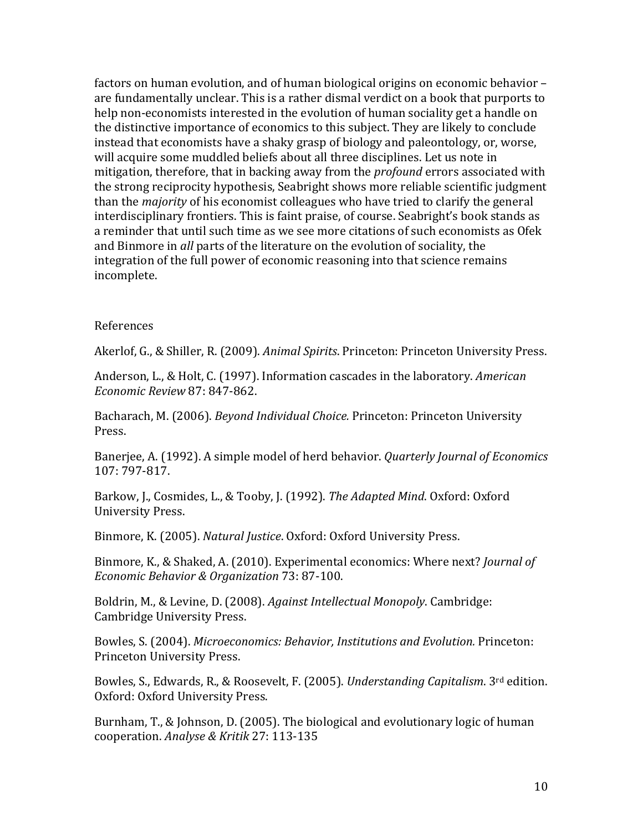factors on human evolution, and of human biological origins on economic behavior – are fundamentally unclear. This is a rather dismal verdict on a book that purports to help non-economists interested in the evolution of human sociality get a handle on the distinctive importance of economics to this subject. They are likely to conclude instead that economists have a shaky grasp of biology and paleontology, or, worse, will acquire some muddled beliefs about all three disciplines. Let us note in mitigation, therefore, that in backing away from the *profound* errors associated with the strong reciprocity hypothesis, Seabright shows more reliable scientific judgment than the *majority* of his economist colleagues who have tried to clarify the general interdisciplinary frontiers. This is faint praise, of course. Seabright's book stands as a reminder that until such time as we see more citations of such economists as Ofek and Binmore in *all* parts of the literature on the evolution of sociality, the integration of the full power of economic reasoning into that science remains incomplete.

# References

Akerlof, G., & Shiller, R. (2009). *Animal Spirits*. Princeton: Princeton University Press.

Anderson, L., & Holt, C. (1997). Information cascades in the laboratory. *American Economic Review* 87: 847-862.

Bacharach, M. (2006). *Beyond Individual Choice.* Princeton: Princeton University Press.

Banerjee, A. (1992). A simple model of herd behavior. *Quarterly Journal of Economics* 107: 797-817.

Barkow, J., Cosmides, L., & Tooby, J. (1992). *The Adapted Mind*. Oxford: Oxford University Press.

Binmore, K. (2005). *Natural Justice*. Oxford: Oxford University Press.

Binmore, K., & Shaked, A. (2010). Experimental economics: Where next? *Journal of Economic Behavior & Organization* 73: 87-100.

Boldrin, M., & Levine, D. (2008). *Against Intellectual Monopoly*. Cambridge: Cambridge University Press.

Bowles, S. (2004). *Microeconomics: Behavior, Institutions and Evolution.* Princeton: Princeton University Press.

Bowles, S., Edwards, R., & Roosevelt, F. (2005). *Understanding Capitalism*. 3<sup>rd</sup> edition. Oxford: Oxford University Press.

Burnham, T., & Johnson, D. (2005). The biological and evolutionary logic of human cooperation. *Analyse & Kritik* 27: 113-135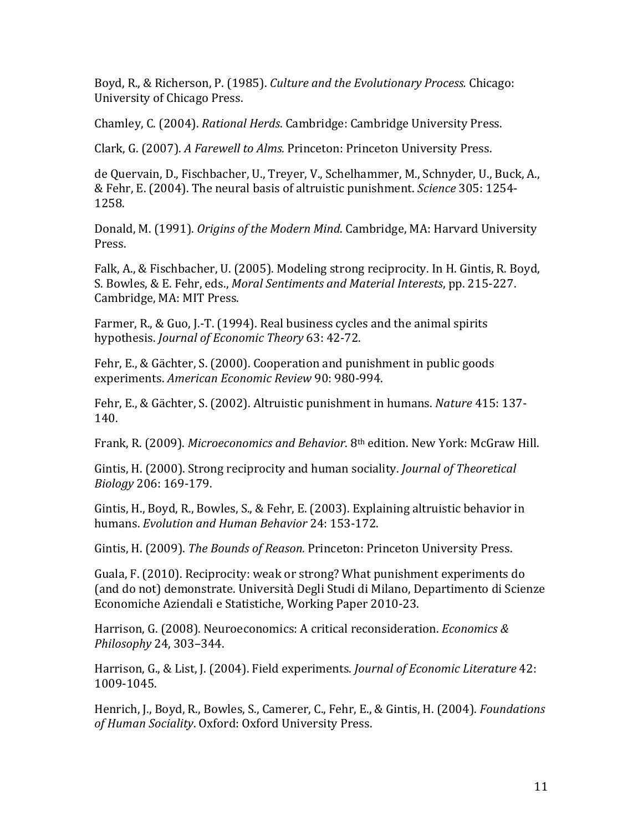Boyd, R., & Richerson, P. (1985). *Culture and the Evolutionary Process.* Chicago: University of Chicago Press.

Chamley, C. (2004). *Rational Herds*. Cambridge: Cambridge University Press.

Clark, G. (2007). *A Farewell to Alms.* Princeton: Princeton University Press.

de Quervain, D., Fischbacher, U., Treyer, V., Schelhammer, M., Schnyder, U., Buck, A., & Fehr, E. (2004). The neural basis of altruistic punishment. *Science* 305: 1254-1258.!

Donald, M. (1991). *Origins of the Modern Mind*. Cambridge, MA: Harvard University Press.

Falk, A., & Fischbacher, U. (2005). Modeling strong reciprocity. In H. Gintis, R. Boyd, S. Bowles, & E. Fehr, eds., *Moral Sentiments and Material Interests*, pp. 215-227. Cambridge, MA: MIT Press.

Farmer, R., & Guo, J.-T. (1994). Real business cycles and the animal spirits hypothesis. *Journal of Economic Theory* 63: 42-72.

Fehr, E., & Gächter, S. (2000). Cooperation and punishment in public goods experiments. American Economic Review 90: 980-994.

Fehr, E., & Gächter, S. (2002). Altruistic punishment in humans. *Nature* 415: 137-140.

Frank, R. (2009). *Microeconomics and Behavior*. 8<sup>th</sup> edition. New York: McGraw Hill.

Gintis, H. (2000). Strong reciprocity and human sociality. *Journal of Theoretical Biology* 206: 169-179.

Gintis, H., Boyd, R., Bowles, S., & Fehr, E. (2003). Explaining altruistic behavior in humans. *Evolution and Human Behavior* 24: 153-172.

Gintis, H. (2009). *The Bounds of Reason.* Princeton: Princeton University Press.

Guala, F. (2010). Reciprocity: weak or strong? What punishment experiments do (and do not) demonstrate. Università Degli Studi di Milano, Departimento di Scienze Economiche Aziendali e Statistiche, Working Paper 2010-23.

Harrison, G. (2008). Neuroeconomics: A critical reconsideration. *Economics & Philosophy* 24,!303–344.

Harrison, G., & List, J. (2004). Field experiments. *Journal of Economic Literature* 42: 1009-1045.

Henrich, J., Boyd, R., Bowles, S., Camerer, C., Fehr, E., & Gintis, H. (2004). *Foundations* of Human Sociality. Oxford: Oxford University Press.